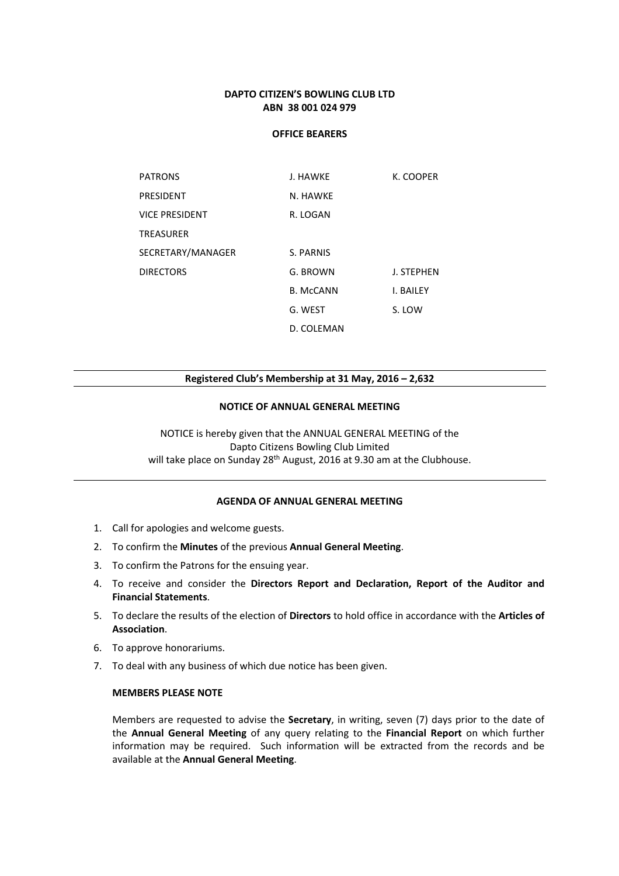#### DAPTO CITIZEN'S BOWLING CLUB LTD ABN 38 001 024 979

#### OFFICE BEARERS

| <b>PATRONS</b>        | J. HAWKF         | K. COOPER  |
|-----------------------|------------------|------------|
| PRESIDENT             | N. HAWKF         |            |
| <b>VICE PRESIDENT</b> | R. LOGAN         |            |
| <b>TREASURER</b>      |                  |            |
| SECRETARY/MANAGER     | S. PARNIS        |            |
| <b>DIRECTORS</b>      | G. BROWN         | J. STEPHEN |
|                       | <b>B. McCANN</b> | I. BAILEY  |
|                       | G. WEST          | S. LOW     |
|                       | D. COLEMAN       |            |

#### Registered Club's Membership at 31 May, 2016 – 2,632

#### NOTICE OF ANNUAL GENERAL MEETING

NOTICE is hereby given that the ANNUAL GENERAL MEETING of the Dapto Citizens Bowling Club Limited will take place on Sunday 28<sup>th</sup> August, 2016 at 9.30 am at the Clubhouse.

#### AGENDA OF ANNUAL GENERAL MEETING

- 1. Call for apologies and welcome guests.
- 2. To confirm the Minutes of the previous Annual General Meeting.
- 3. To confirm the Patrons for the ensuing year.
- 4. To receive and consider the Directors Report and Declaration, Report of the Auditor and Financial Statements.
- 5. To declare the results of the election of Directors to hold office in accordance with the Articles of Association.
- 6. To approve honorariums.
- 7. To deal with any business of which due notice has been given.

#### MEMBERS PLEASE NOTE

Members are requested to advise the Secretary, in writing, seven (7) days prior to the date of the Annual General Meeting of any query relating to the Financial Report on which further information may be required. Such information will be extracted from the records and be available at the Annual General Meeting.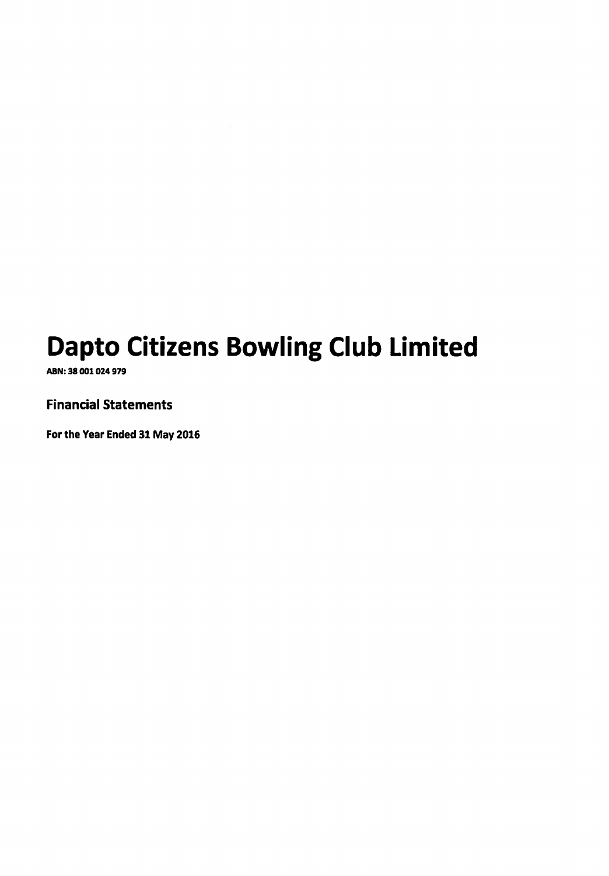ABN: 38 001 024 979

**Financial Statements** 

For the Year Ended 31 May 2016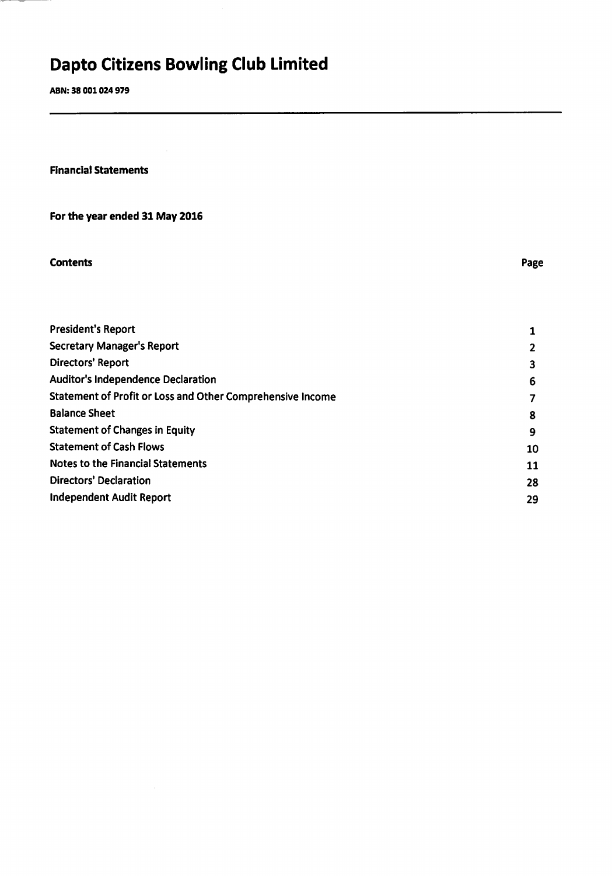ABN: 38 001 024 979

**Financial Statements** 

For the year ended 31 May 2016

 $\hat{\mathcal{A}}$ 

**Contents** 

Page

| <b>President's Report</b>                                  |    |
|------------------------------------------------------------|----|
| <b>Secretary Manager's Report</b>                          | 2  |
| <b>Directors' Report</b>                                   | 3  |
| <b>Auditor's Independence Declaration</b>                  | 6  |
| Statement of Profit or Loss and Other Comprehensive Income | 7  |
| <b>Balance Sheet</b>                                       | 8  |
| <b>Statement of Changes in Equity</b>                      | 9  |
| <b>Statement of Cash Flows</b>                             | 10 |
| <b>Notes to the Financial Statements</b>                   | 11 |
| <b>Directors' Declaration</b>                              | 28 |
| Independent Audit Report                                   | 29 |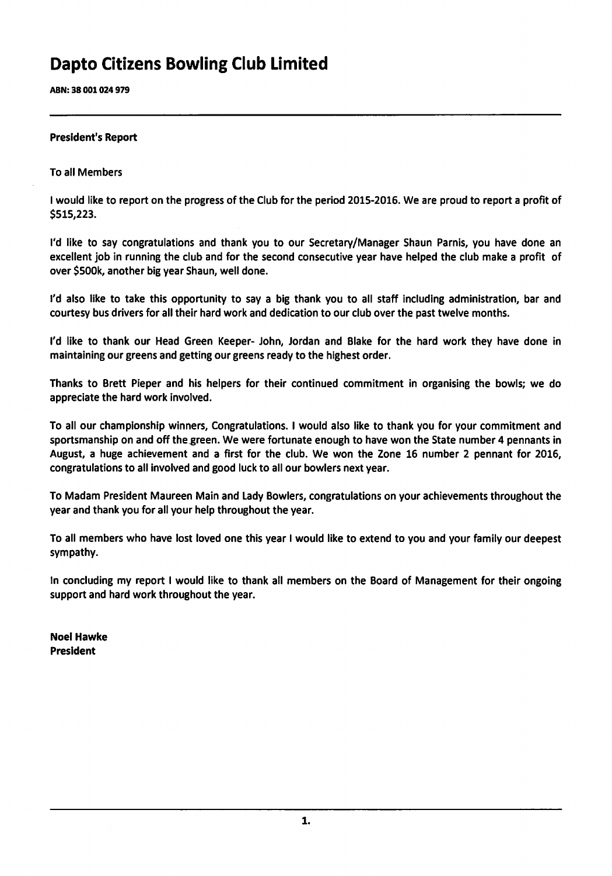ABN: 38 001 024 979

#### **President's Report**

#### **To all Members**

I would like to report on the progress of the Club for the period 2015-2016. We are proud to report a profit of \$515,223.

I'd like to say congratulations and thank you to our Secretary/Manager Shaun Parnis, you have done an excellent job in running the club and for the second consecutive year have helped the club make a profit of over \$500k, another big year Shaun, well done.

I'd also like to take this opportunity to say a big thank you to all staff including administration, bar and courtesy bus drivers for all their hard work and dedication to our club over the past twelve months.

I'd like to thank our Head Green Keeper- John, Jordan and Blake for the hard work they have done in maintaining our greens and getting our greens ready to the highest order.

Thanks to Brett Pieper and his helpers for their continued commitment in organising the bowls; we do appreciate the hard work involved.

To all our championship winners, Congratulations. I would also like to thank you for your commitment and sportsmanship on and off the green. We were fortunate enough to have won the State number 4 pennants in August, a huge achievement and a first for the club. We won the Zone 16 number 2 pennant for 2016, congratulations to all involved and good luck to all our bowlers next year.

To Madam President Maureen Main and Lady Bowlers, congratulations on your achievements throughout the year and thank you for all your help throughout the year.

To all members who have lost loved one this year I would like to extend to you and your family our deepest sympathy.

In concluding my report I would like to thank all members on the Board of Management for their ongoing support and hard work throughout the year.

**Noel Hawke President**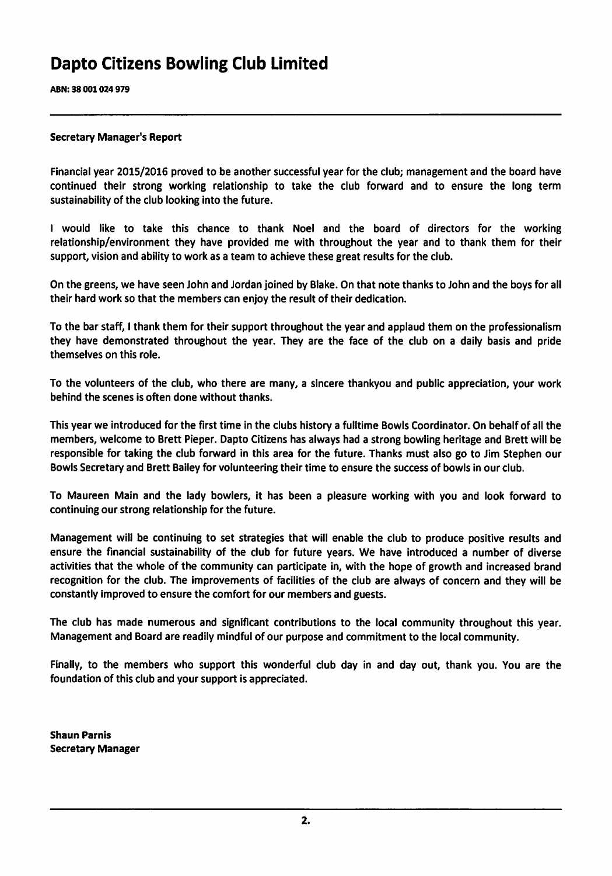ABN: 38 001 024 979

#### **Secretary Manager's Report**

Financial year 2015/2016 proved to be another successful year for the club; management and the board have continued their strong working relationship to take the club forward and to ensure the long term sustainability of the club looking into the future.

I would like to take this chance to thank Noel and the board of directors for the working relationship/environment they have provided me with throughout the year and to thank them for their support, vision and ability to work as a team to achieve these great results for the club.

On the greens, we have seen John and Jordan joined by Blake. On that note thanks to John and the boys for all their hard work so that the members can enjoy the result of their dedication.

To the bar staff, I thank them for their support throughout the year and applaud them on the professionalism they have demonstrated throughout the year. They are the face of the club on a daily basis and pride themselves on this role.

To the volunteers of the club, who there are many, a sincere thankyou and public appreciation, your work behind the scenes is often done without thanks.

This year we introduced for the first time in the clubs history a fulltime Bowls Coordinator. On behalf of all the members, welcome to Brett Pieper. Dapto Citizens has always had a strong bowling heritage and Brett will be responsible for taking the club forward in this area for the future. Thanks must also go to Jim Stephen our Bowls Secretary and Brett Bailey for volunteering their time to ensure the success of bowls in our club.

To Maureen Main and the lady bowlers, it has been a pleasure working with you and look forward to continuing our strong relationship for the future.

Management will be continuing to set strategies that will enable the club to produce positive results and ensure the financial sustainability of the club for future years. We have introduced a number of diverse activities that the whole of the community can participate in, with the hope of growth and increased brand recognition for the club. The improvements of facilities of the club are always of concern and they will be constantly improved to ensure the comfort for our members and guests.

The club has made numerous and significant contributions to the local community throughout this year. Management and Board are readily mindful of our purpose and commitment to the local community.

Finally, to the members who support this wonderful club day in and day out, thank you. You are the foundation of this club and your support is appreciated.

**Shaun Parnis Secretary Manager**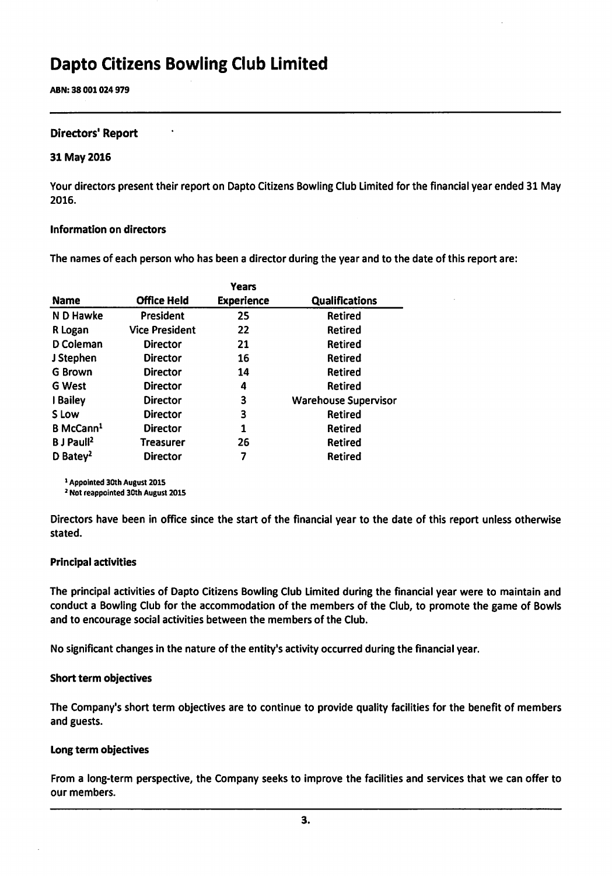ABN: 38 001 024 979

#### **Directors' Report**

#### 31 May 2016

Your directors present their report on Dapto Citizens Bowling Club Limited for the financial year ended 31 May 2016.

#### Information on directors

The names of each person who has been a director during the year and to the date of this report are:

|                               |                       | <b>rears</b>      |                             |
|-------------------------------|-----------------------|-------------------|-----------------------------|
| <b>Name</b>                   | <b>Office Held</b>    | <b>Experience</b> | <b>Qualifications</b>       |
| N D Hawke                     | President             | 25                | <b>Retired</b>              |
| R Logan                       | <b>Vice President</b> | 22                | Retired                     |
| D Coleman                     | <b>Director</b>       | 21                | <b>Retired</b>              |
| J Stephen                     | <b>Director</b>       | 16                | <b>Retired</b>              |
| <b>G</b> Brown                | <b>Director</b>       | 14                | <b>Retired</b>              |
| <b>G</b> West                 | <b>Director</b>       | 4                 | <b>Retired</b>              |
| I Bailey                      | <b>Director</b>       | 3                 | <b>Warehouse Supervisor</b> |
| S Low                         | <b>Director</b>       | 3                 | <b>Retired</b>              |
| B McCann <sup>1</sup>         | <b>Director</b>       | 1                 | Retired                     |
| <b>B</b> J Paull <sup>2</sup> | Treasurer             | 26                | <b>Retired</b>              |
| D Batey <sup>2</sup>          | <b>Director</b>       | 7                 | <b>Retired</b>              |
|                               |                       |                   |                             |

 $\ddot{\phantom{a}}$ 

<sup>1</sup> Appointed 30th August 2015

<sup>2</sup> Not reappointed 30th August 2015

Directors have been in office since the start of the financial year to the date of this report unless otherwise stated.

#### **Principal activities**

The principal activities of Dapto Citizens Bowling Club Limited during the financial year were to maintain and conduct a Bowling Club for the accommodation of the members of the Club, to promote the game of Bowls and to encourage social activities between the members of the Club.

No significant changes in the nature of the entity's activity occurred during the financial year.

#### Short term objectives

The Company's short term objectives are to continue to provide quality facilities for the benefit of members and guests.

#### Long term objectives

From a long-term perspective, the Company seeks to improve the facilities and services that we can offer to our members.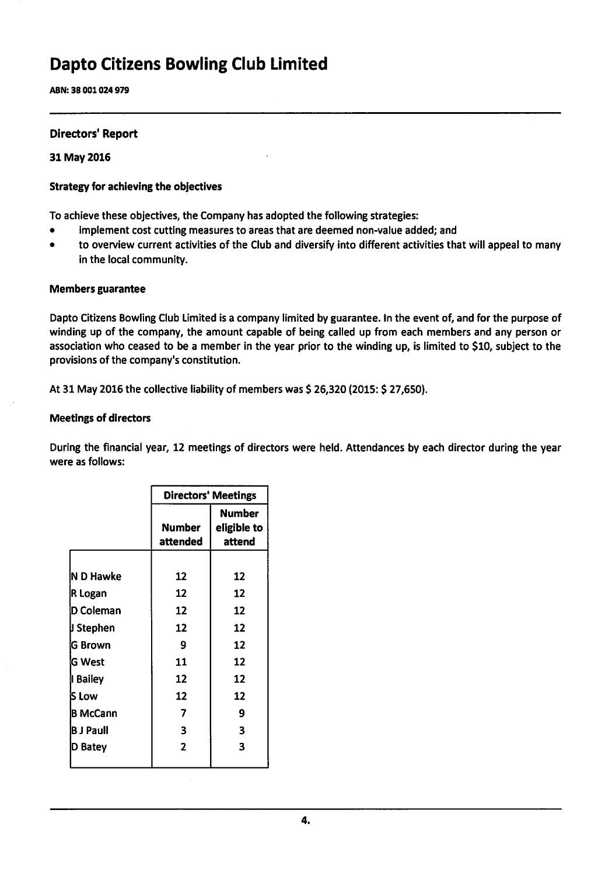ABN: 38 001 024 979

### **Directors' Report**

#### 31 May 2016

#### **Strategy for achieving the objectives**

To achieve these objectives, the Company has adopted the following strategies:

- implement cost cutting measures to areas that are deemed non-value added; and  $\bullet$
- $\bullet$ to overview current activities of the Club and diversify into different activities that will appeal to many in the local community.

#### **Members guarantee**

Dapto Citizens Bowling Club Limited is a company limited by guarantee. In the event of, and for the purpose of winding up of the company, the amount capable of being called up from each members and any person or association who ceased to be a member in the year prior to the winding up, is limited to \$10, subject to the provisions of the company's constitution.

At 31 May 2016 the collective liability of members was \$ 26,320 (2015: \$ 27,650).

#### **Meetings of directors**

During the financial year, 12 meetings of directors were held. Attendances by each director during the year were as follows:

|                   | <b>Directors' Meetings</b> |                                        |  |
|-------------------|----------------------------|----------------------------------------|--|
|                   | Number<br>attended         | <b>Number</b><br>eligible to<br>attend |  |
|                   |                            |                                        |  |
| <b>N D Hawke</b>  | 12                         | 12                                     |  |
| R Logan           | 12                         | 12                                     |  |
| lD Coleman        | 12                         | 12                                     |  |
| <b>JJ Stephen</b> | 12                         | 12                                     |  |
| <b>G Brown</b>    | 9                          | 12                                     |  |
| lG West           | 11                         | 12                                     |  |
| I Bailey          | 12                         | 12                                     |  |
| <b>S</b> Low      | 12                         | 12                                     |  |
| <b>B</b> McCann   | 7                          | 9                                      |  |
| B J Paull         | 3                          | 3                                      |  |
| D Batey           | 2                          | 3                                      |  |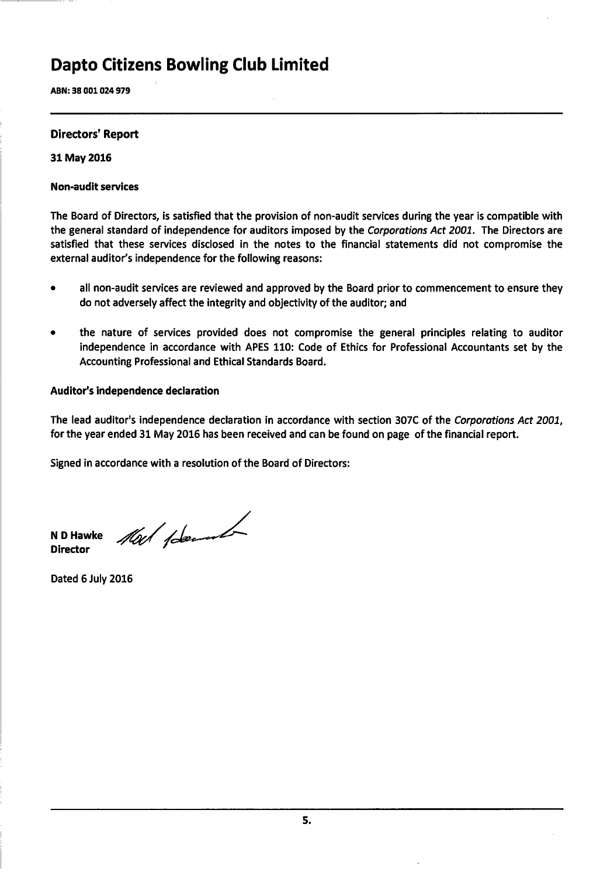ABN: 38 001 024 979

#### **Directors' Report**

#### 31 May 2016

#### **Non-audit services**

The Board of Directors, is satisfied that the provision of non-audit services during the year is compatible with the general standard of independence for auditors imposed by the Corporations Act 2001. The Directors are satisfied that these services disclosed in the notes to the financial statements did not compromise the external auditor's independence for the following reasons:

- all non-audit services are reviewed and approved by the Board prior to commencement to ensure they  $\bullet$ do not adversely affect the integrity and objectivity of the auditor; and
- the nature of services provided does not compromise the general principles relating to auditor  $\bullet$ independence in accordance with APES 110: Code of Ethics for Professional Accountants set by the Accounting Professional and Ethical Standards Board.

#### Auditor's independence declaration

The lead auditor's independence declaration in accordance with section 307C of the Corporations Act 2001, for the year ended 31 May 2016 has been received and can be found on page of the financial report.

Signed in accordance with a resolution of the Board of Directors:

Noch fammel N D Hawke **Director** 

Dated 6 July 2016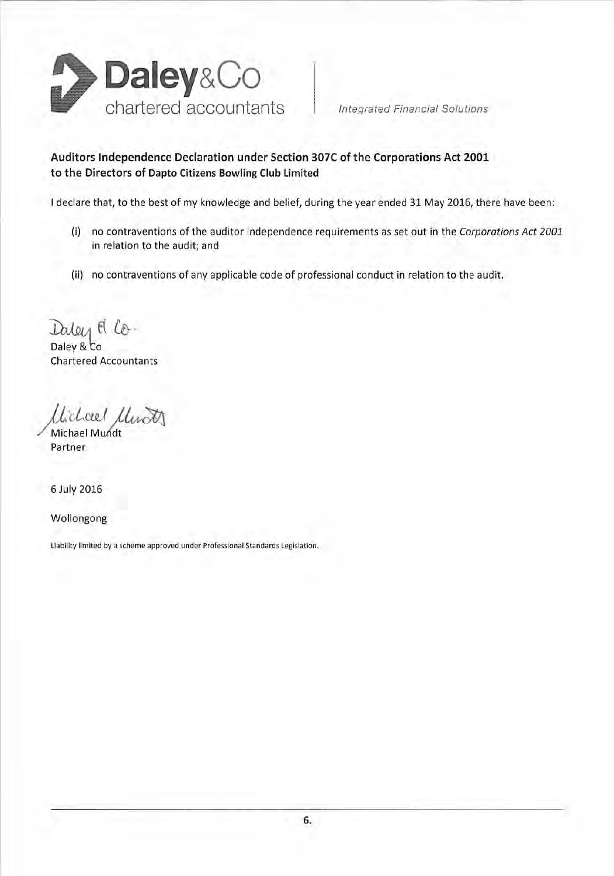

**Integrated Financial Solutions** 

### Auditors Independence Declaration under Section 307C of the Corporations Act 2001 to the Directors of Dapto Citizens Bowling Club Limited

I declare that, to the best of my knowledge and belief, during the year ended 31 May 2016, there have been:

- no contraventions of the auditor independence requirements as set out in the Corporations Act 2001  $(i)$ in relation to the audit; and
- (ii) no contraventions of any applicable code of professional conduct in relation to the audit.

Daley & Co.

Daley & Co **Chartered Accountants** 

Unhael Unit Michael Mund

Partner

6 July 2016

Wollongong

Liability limited by a scheme approved under Professional Standards Legislation.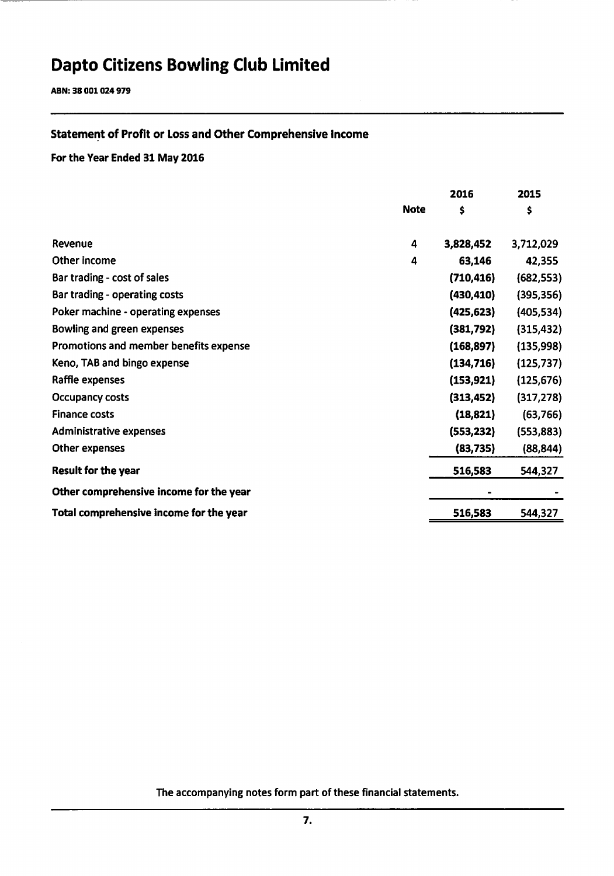ABN: 38 001 024 979

### **Statement of Profit or Loss and Other Comprehensive Income**

### For the Year Ended 31 May 2016

|                                         |             | 2016       | 2015       |
|-----------------------------------------|-------------|------------|------------|
|                                         | <b>Note</b> | \$         | \$         |
| Revenue                                 | 4           | 3,828,452  | 3,712,029  |
| Other income                            | 4           | 63,146     | 42,355     |
| Bar trading - cost of sales             |             | (710, 416) | (682, 553) |
| Bar trading - operating costs           |             | (430, 410) | (395, 356) |
| Poker machine - operating expenses      |             | (425, 623) | (405, 534) |
| Bowling and green expenses              |             | (381,792)  | (315, 432) |
| Promotions and member benefits expense  |             | (168, 897) | (135,998)  |
| Keno, TAB and bingo expense             |             | (134, 716) | (125, 737) |
| Raffle expenses                         |             | (153, 921) | (125, 676) |
| <b>Occupancy costs</b>                  |             | (313, 452) | (317, 278) |
| <b>Finance costs</b>                    |             | (18, 821)  | (63, 766)  |
| <b>Administrative expenses</b>          |             | (553, 232) | (553, 883) |
| Other expenses                          |             | (83,735)   | (88, 844)  |
| <b>Result for the year</b>              |             | 516,583    | 544,327    |
| Other comprehensive income for the year |             |            |            |
| Total comprehensive income for the year |             | 516,583    | 544,327    |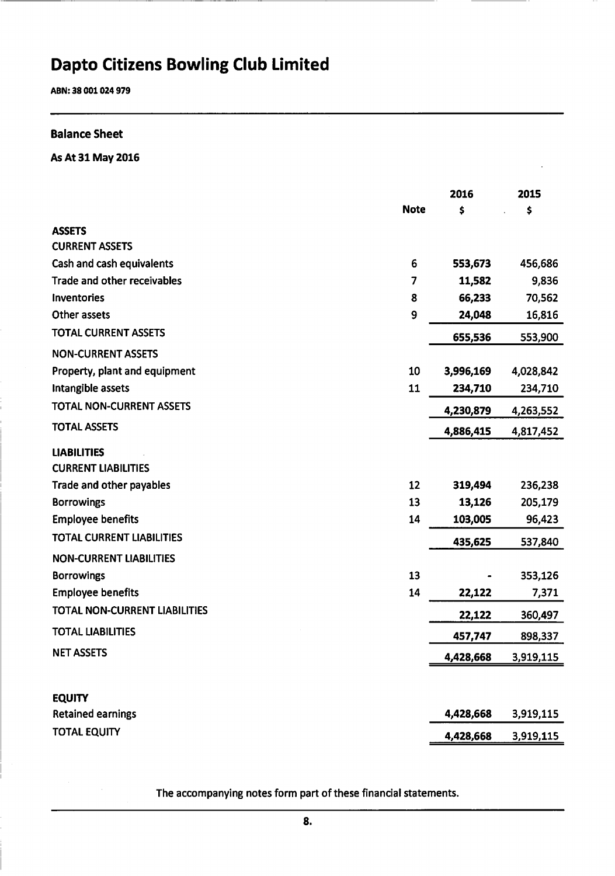ABN: 38 001 024 979

### **Balance Sheet**

As At 31 May 2016

|                                  |             | 2016      | 2015      |
|----------------------------------|-------------|-----------|-----------|
|                                  | <b>Note</b> | \$        | \$        |
| <b>ASSETS</b>                    |             |           |           |
| <b>CURRENT ASSETS</b>            |             |           |           |
| Cash and cash equivalents        | 6           | 553,673   | 456,686   |
| Trade and other receivables      | 7           | 11,582    | 9,836     |
| Inventories                      | 8           | 66,233    | 70,562    |
| Other assets                     | 9           | 24,048    | 16,816    |
| <b>TOTAL CURRENT ASSETS</b>      |             | 655,536   | 553,900   |
| <b>NON-CURRENT ASSETS</b>        |             |           |           |
| Property, plant and equipment    | 10          | 3,996,169 | 4,028,842 |
| Intangible assets                | 11          | 234,710   | 234,710   |
| <b>TOTAL NON-CURRENT ASSETS</b>  |             | 4,230,879 | 4,263,552 |
| <b>TOTAL ASSETS</b>              |             | 4,886,415 | 4,817,452 |
| <b>LIABILITIES</b>               |             |           |           |
| <b>CURRENT LIABILITIES</b>       |             |           |           |
| Trade and other payables         | 12          | 319,494   | 236,238   |
| <b>Borrowings</b>                | 13          | 13,126    | 205,179   |
| <b>Employee benefits</b>         | 14          | 103,005   | 96,423    |
| <b>TOTAL CURRENT LIABILITIES</b> |             | 435,625   | 537,840   |
| <b>NON-CURRENT LIABILITIES</b>   |             |           |           |
| <b>Borrowings</b>                | 13          |           | 353,126   |
| <b>Employee benefits</b>         | 14          | 22,122    | 7,371     |
| TOTAL NON-CURRENT LIABILITIES    |             | 22,122    | 360,497   |
| <b>TOTAL LIABILITIES</b>         |             | 457,747   | 898,337   |
| <b>NET ASSETS</b>                |             | 4,428,668 | 3,919,115 |
|                                  |             |           |           |
| <b>EQUITY</b>                    |             |           |           |
| <b>Retained earnings</b>         |             | 4,428,668 | 3,919,115 |
| <b>TOTAL EQUITY</b>              |             | 4,428,668 | 3,919,115 |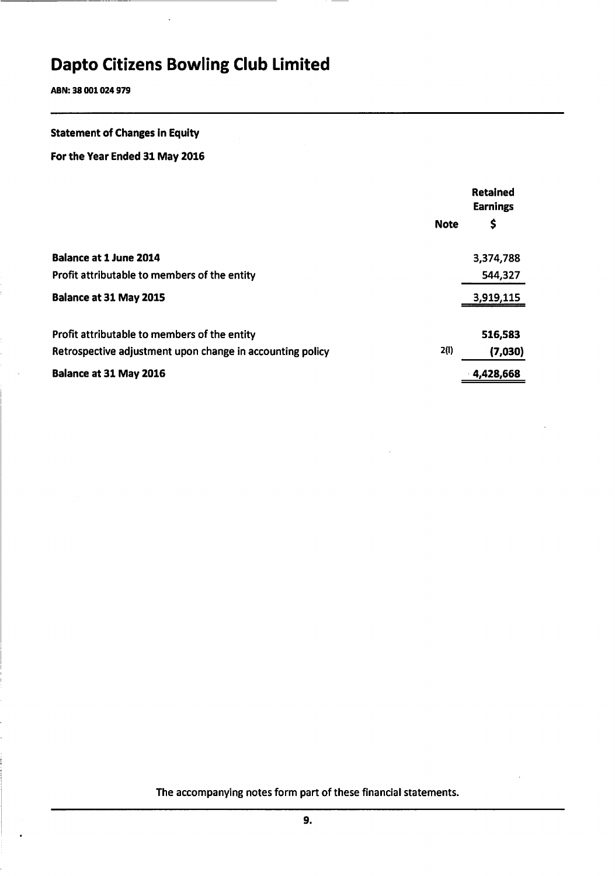ABN: 38 001 024 979

### **Statement of Changes in Equity**

For the Year Ended 31 May 2016

|                                                           |             | Retained<br><b>Earnings</b> |
|-----------------------------------------------------------|-------------|-----------------------------|
|                                                           | <b>Note</b> | \$                          |
| Balance at 1 June 2014                                    |             | 3,374,788                   |
| Profit attributable to members of the entity              |             | 544,327                     |
| Balance at 31 May 2015                                    |             | 3,919,115                   |
| Profit attributable to members of the entity              |             | 516,583                     |
| Retrospective adjustment upon change in accounting policy | 2(I)        | (7,030)                     |
| Balance at 31 May 2016                                    |             | 4,428,668                   |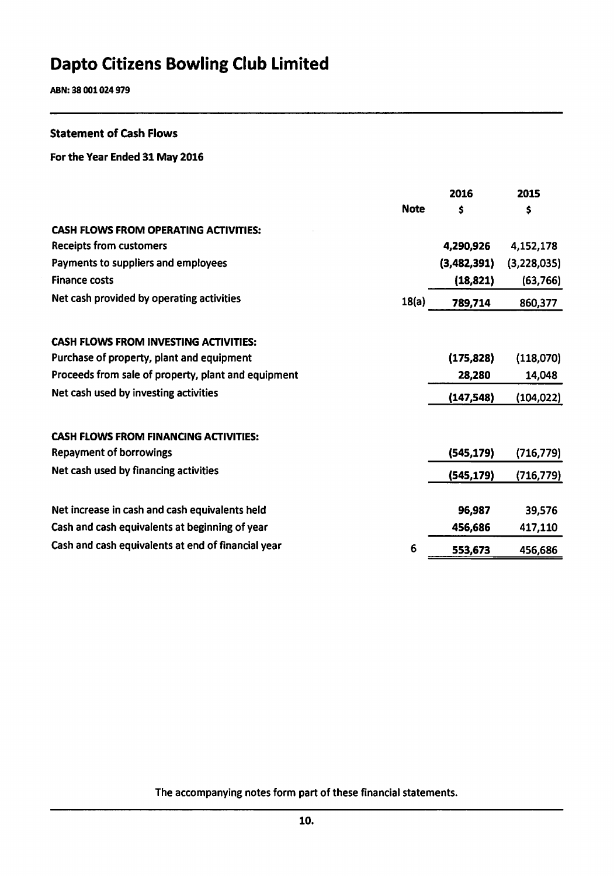ABN: 38 001 024 979

### **Statement of Cash Flows**

For the Year Ended 31 May 2016

|                                                     |             | 2016        | 2015        |
|-----------------------------------------------------|-------------|-------------|-------------|
|                                                     | <b>Note</b> | s           | \$          |
| <b>CASH FLOWS FROM OPERATING ACTIVITIES:</b>        |             |             |             |
| <b>Receipts from customers</b>                      |             | 4,290,926   | 4,152,178   |
| Payments to suppliers and employees                 |             | (3,482,391) | (3,228,035) |
| <b>Finance costs</b>                                |             | (18, 821)   | (63, 766)   |
| Net cash provided by operating activities           | 18(a)       | 789,714     | 860,377     |
| <b>CASH FLOWS FROM INVESTING ACTIVITIES:</b>        |             |             |             |
| Purchase of property, plant and equipment           |             | (175, 828)  | (118,070)   |
| Proceeds from sale of property, plant and equipment |             | 28,280      | 14,048      |
| Net cash used by investing activities               |             | (147, 548)  | (104, 022)  |
| <b>CASH FLOWS FROM FINANCING ACTIVITIES:</b>        |             |             |             |
| <b>Repayment of borrowings</b>                      |             | (545, 179)  | (716, 779)  |
| Net cash used by financing activities               |             | (545, 179)  | (716, 779)  |
| Net increase in cash and cash equivalents held      |             | 96,987      | 39,576      |
| Cash and cash equivalents at beginning of year      |             | 456,686     | 417,110     |
| Cash and cash equivalents at end of financial year  | 6           | 553,673     | 456,686     |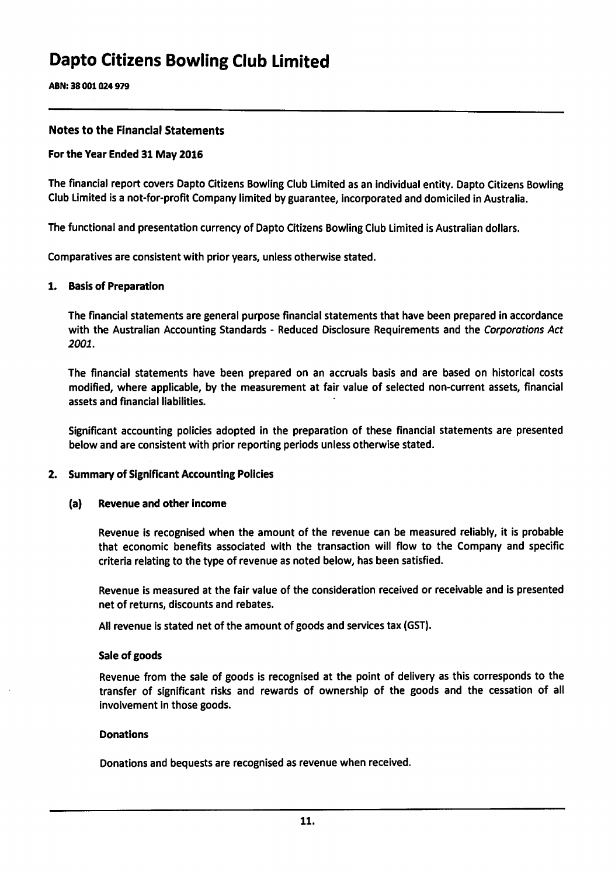ABN: 38 001 024 979

### **Notes to the Financial Statements**

#### For the Year Ended 31 May 2016

The financial report covers Dapto Citizens Bowling Club Limited as an individual entity. Dapto Citizens Bowling Club Limited is a not-for-profit Company limited by guarantee, incorporated and domiciled in Australia.

The functional and presentation currency of Dapto Citizens Bowling Club Limited is Australian dollars.

Comparatives are consistent with prior years, unless otherwise stated.

#### 1. Basis of Preparation

The financial statements are general purpose financial statements that have been prepared in accordance with the Australian Accounting Standards - Reduced Disclosure Requirements and the Corporations Act 2001.

The financial statements have been prepared on an accruals basis and are based on historical costs modified, where applicable, by the measurement at fair value of selected non-current assets, financial assets and financial liabilities.

Significant accounting policies adopted in the preparation of these financial statements are presented below and are consistent with prior reporting periods unless otherwise stated.

#### 2. Summary of Significant Accounting Policies

#### **Revenue and other income**  $(a)$

Revenue is recognised when the amount of the revenue can be measured reliably, it is probable that economic benefits associated with the transaction will flow to the Company and specific criteria relating to the type of revenue as noted below, has been satisfied.

Revenue is measured at the fair value of the consideration received or receivable and is presented net of returns, discounts and rebates.

All revenue is stated net of the amount of goods and services tax (GST).

#### Sale of goods

Revenue from the sale of goods is recognised at the point of delivery as this corresponds to the transfer of significant risks and rewards of ownership of the goods and the cessation of all involvement in those goods.

#### **Donations**

Donations and bequests are recognised as revenue when received.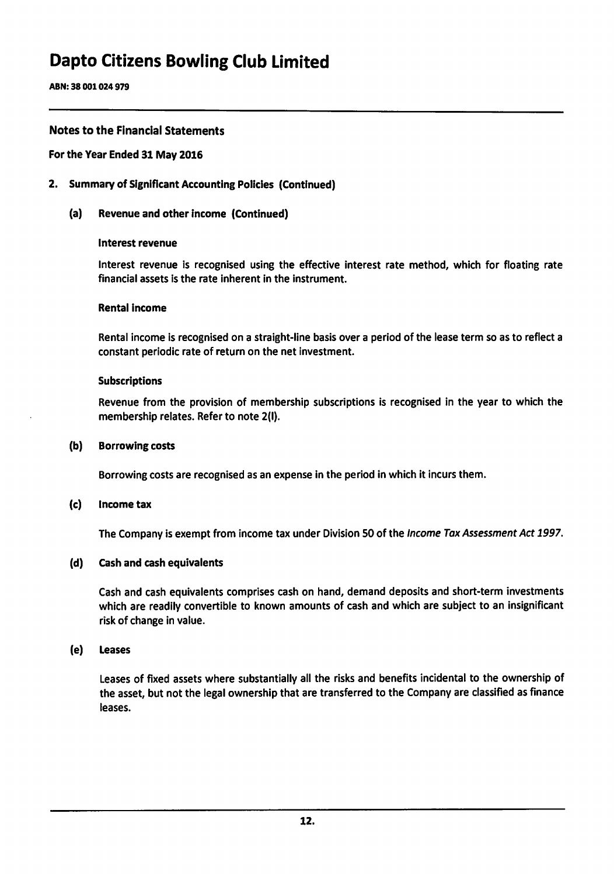ABN: 38 001 024 979

### **Notes to the Financial Statements**

#### For the Year Ended 31 May 2016

#### 2. **Summary of Significant Accounting Policies (Continued)**

 $(a)$ Revenue and other income (Continued)

#### Interest revenue

Interest revenue is recognised using the effective interest rate method, which for floating rate financial assets is the rate inherent in the instrument.

#### **Rental income**

Rental income is recognised on a straight-line basis over a period of the lease term so as to reflect a constant periodic rate of return on the net investment.

#### **Subscriptions**

Revenue from the provision of membership subscriptions is recognised in the year to which the membership relates. Refer to note 2(I).

#### $(b)$ **Borrowing costs**

Borrowing costs are recognised as an expense in the period in which it incurs them.

#### $(c)$ Income tax

The Company is exempt from income tax under Division 50 of the Income Tax Assessment Act 1997.

#### (d) **Cash and cash equivalents**

Cash and cash equivalents comprises cash on hand, demand deposits and short-term investments which are readily convertible to known amounts of cash and which are subject to an insignificant risk of change in value.

#### $(e)$ **Leases**

Leases of fixed assets where substantially all the risks and benefits incidental to the ownership of the asset, but not the legal ownership that are transferred to the Company are classified as finance leases.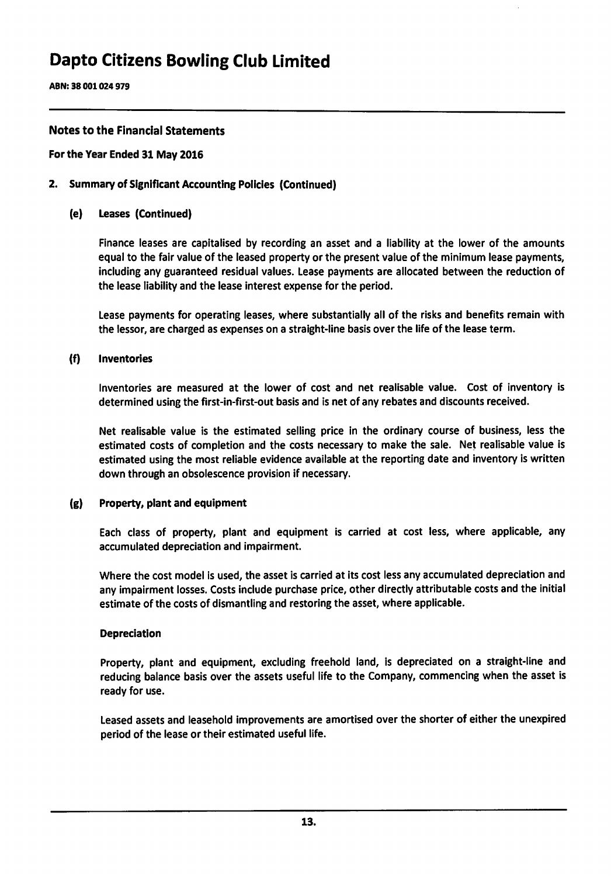ABN: 38 001 024 979

### **Notes to the Financial Statements**

#### For the Year Ended 31 May 2016

#### **Summary of Significant Accounting Policies (Continued)** 2.

#### Leases (Continued)  $(e)$

Finance leases are capitalised by recording an asset and a liability at the lower of the amounts equal to the fair value of the leased property or the present value of the minimum lease payments, including any guaranteed residual values. Lease payments are allocated between the reduction of the lease liability and the lease interest expense for the period.

Lease payments for operating leases, where substantially all of the risks and benefits remain with the lessor, are charged as expenses on a straight-line basis over the life of the lease term.

#### $(f)$ **Inventories**

Inventories are measured at the lower of cost and net realisable value. Cost of inventory is determined using the first-in-first-out basis and is net of any rebates and discounts received.

Net realisable value is the estimated selling price in the ordinary course of business, less the estimated costs of completion and the costs necessary to make the sale. Net realisable value is estimated using the most reliable evidence available at the reporting date and inventory is written down through an obsolescence provision if necessary.

#### $(g)$ Property, plant and equipment

Each class of property, plant and equipment is carried at cost less, where applicable, any accumulated depreciation and impairment.

Where the cost model is used, the asset is carried at its cost less any accumulated depreciation and any impairment losses. Costs include purchase price, other directly attributable costs and the initial estimate of the costs of dismantling and restoring the asset, where applicable.

#### **Depreciation**

Property, plant and equipment, excluding freehold land, is depreciated on a straight-line and reducing balance basis over the assets useful life to the Company, commencing when the asset is ready for use.

Leased assets and leasehold improvements are amortised over the shorter of either the unexpired period of the lease or their estimated useful life.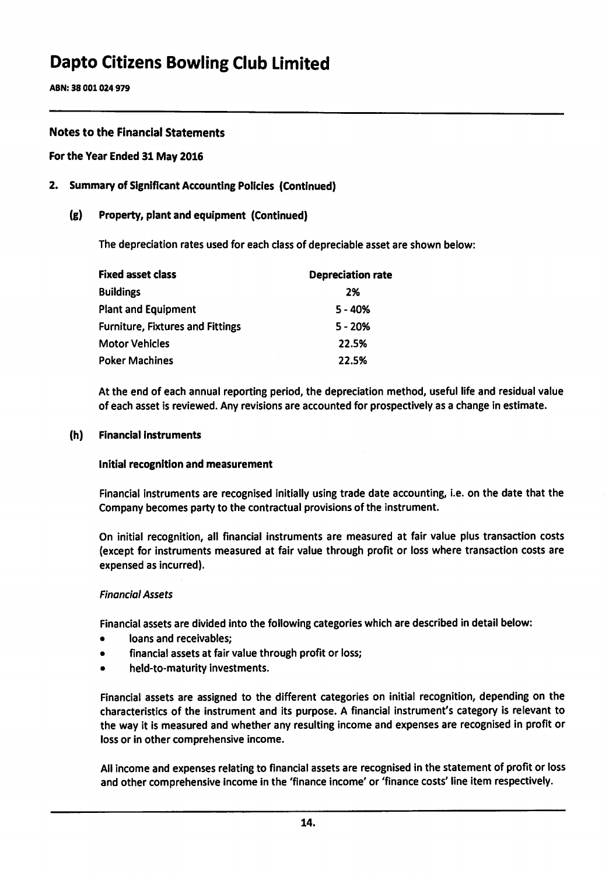ABN: 38 001 024 979

### **Notes to the Financial Statements**

#### For the Year Ended 31 May 2016

#### **Summary of Significant Accounting Policies (Continued)** 2.

#### $(g)$ Property, plant and equipment (Continued)

The depreciation rates used for each class of depreciable asset are shown below:

| <b>Fixed asset class</b>                | <b>Depreciation rate</b> |
|-----------------------------------------|--------------------------|
| <b>Buildings</b>                        | 2%                       |
| <b>Plant and Equipment</b>              | $5 - 40%$                |
| <b>Furniture, Fixtures and Fittings</b> | $5 - 20%$                |
| <b>Motor Vehicles</b>                   | 22.5%                    |
| <b>Poker Machines</b>                   | 22.5%                    |

At the end of each annual reporting period, the depreciation method, useful life and residual value of each asset is reviewed. Any revisions are accounted for prospectively as a change in estimate.

#### $(h)$ **Financial instruments**

#### Initial recognition and measurement

Financial instruments are recognised initially using trade date accounting, i.e. on the date that the Company becomes party to the contractual provisions of the instrument.

On initial recognition, all financial instruments are measured at fair value plus transaction costs (except for instruments measured at fair value through profit or loss where transaction costs are expensed as incurred).

#### **Financial Assets**

Financial assets are divided into the following categories which are described in detail below:

- loans and receivables;  $\bullet$
- financial assets at fair value through profit or loss;
- held-to-maturity investments.  $\bullet$

Financial assets are assigned to the different categories on initial recognition, depending on the characteristics of the instrument and its purpose. A financial instrument's category is relevant to the way it is measured and whether any resulting income and expenses are recognised in profit or loss or in other comprehensive income.

All income and expenses relating to financial assets are recognised in the statement of profit or loss and other comprehensive income in the 'finance income' or 'finance costs' line item respectively.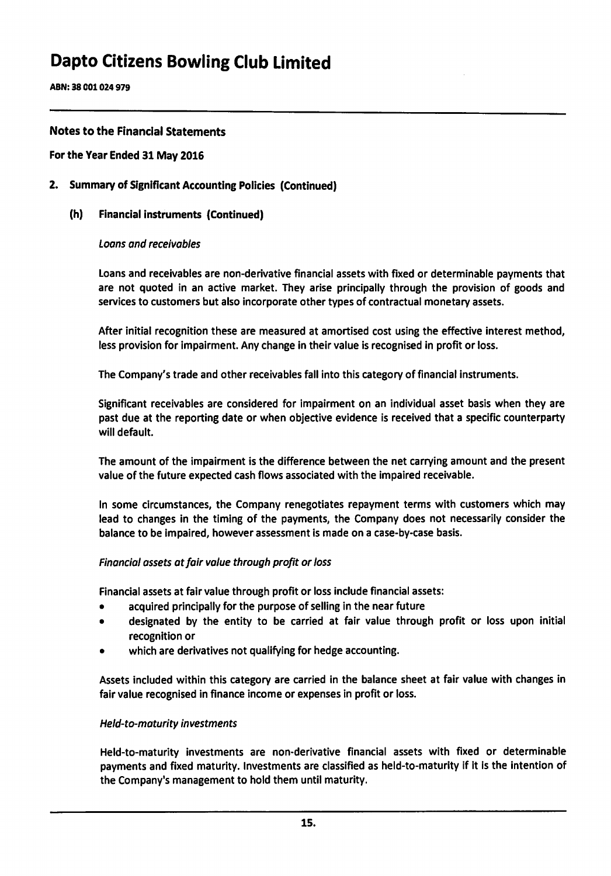ABN: 38 001 024 979

### **Notes to the Financial Statements**

### For the Year Ended 31 May 2016

#### **Summary of Significant Accounting Policies (Continued)** 2.

#### $(h)$ **Financial instruments (Continued)**

#### Loans and receivables

Loans and receivables are non-derivative financial assets with fixed or determinable payments that are not quoted in an active market. They arise principally through the provision of goods and services to customers but also incorporate other types of contractual monetary assets.

After initial recognition these are measured at amortised cost using the effective interest method, less provision for impairment. Any change in their value is recognised in profit or loss.

The Company's trade and other receivables fall into this category of financial instruments.

Significant receivables are considered for impairment on an individual asset basis when they are past due at the reporting date or when objective evidence is received that a specific counterparty will default.

The amount of the impairment is the difference between the net carrying amount and the present value of the future expected cash flows associated with the impaired receivable.

In some circumstances, the Company renegotiates repayment terms with customers which may lead to changes in the timing of the payments, the Company does not necessarily consider the balance to be impaired, however assessment is made on a case-by-case basis.

#### Financial assets at fair value through profit or loss

Financial assets at fair value through profit or loss include financial assets:

- acquired principally for the purpose of selling in the near future
- designated by the entity to be carried at fair value through profit or loss upon initial  $\blacksquare$ recognition or
- which are derivatives not qualifying for hedge accounting.

Assets included within this category are carried in the balance sheet at fair value with changes in fair value recognised in finance income or expenses in profit or loss.

#### **Held-to-maturity investments**

Held-to-maturity investments are non-derivative financial assets with fixed or determinable payments and fixed maturity. Investments are classified as held-to-maturity if it is the intention of the Company's management to hold them until maturity.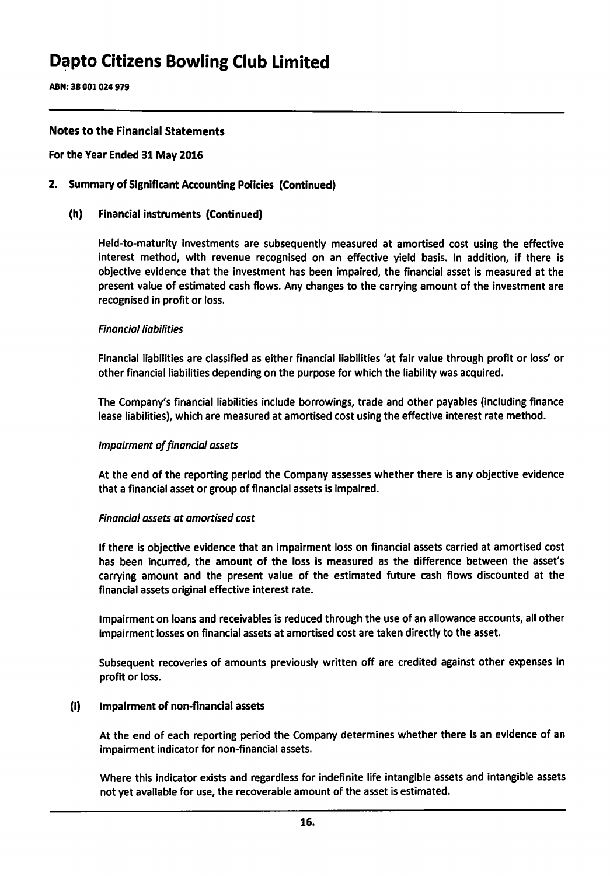ABN: 38 001 024 979

### **Notes to the Financial Statements**

#### For the Year Ended 31 May 2016

#### **Summary of Significant Accounting Policies (Continued)**  $2.$

#### $(h)$ **Financial instruments (Continued)**

Held-to-maturity investments are subsequently measured at amortised cost using the effective interest method, with revenue recognised on an effective yield basis. In addition, if there is objective evidence that the investment has been impaired, the financial asset is measured at the present value of estimated cash flows. Any changes to the carrying amount of the investment are recognised in profit or loss.

#### **Financial liabilities**

Financial liabilities are classified as either financial liabilities 'at fair value through profit or loss' or other financial liabilities depending on the purpose for which the liability was acquired.

The Company's financial liabilities include borrowings, trade and other payables (including finance lease liabilities), which are measured at amortised cost using the effective interest rate method.

#### **Impairment of financial assets**

At the end of the reporting period the Company assesses whether there is any objective evidence that a financial asset or group of financial assets is impaired.

#### **Financial assets at amortised cost**

If there is objective evidence that an impairment loss on financial assets carried at amortised cost has been incurred, the amount of the loss is measured as the difference between the asset's carrying amount and the present value of the estimated future cash flows discounted at the financial assets original effective interest rate.

Impairment on loans and receivables is reduced through the use of an allowance accounts, all other impairment losses on financial assets at amortised cost are taken directly to the asset.

Subsequent recoveries of amounts previously written off are credited against other expenses in profit or loss.

#### $(i)$ Impairment of non-financial assets

At the end of each reporting period the Company determines whether there is an evidence of an impairment indicator for non-financial assets.

Where this indicator exists and regardless for indefinite life intangible assets and intangible assets not yet available for use, the recoverable amount of the asset is estimated.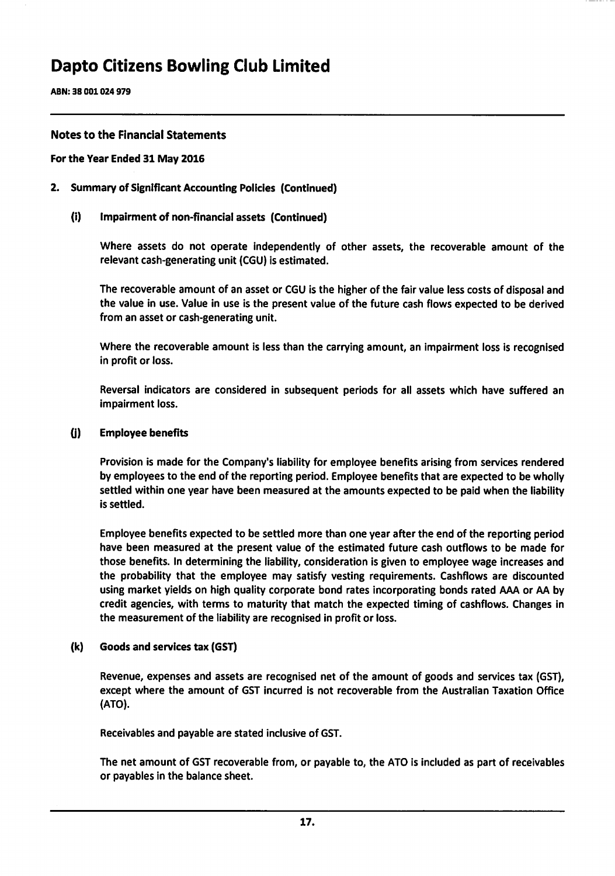ABN: 38 001 024 979

### **Notes to the Financial Statements**

#### For the Year Ended 31 May 2016

#### 2. Summary of Significant Accounting Policies (Continued)

 $(i)$ Impairment of non-financial assets (Continued)

> Where assets do not operate independently of other assets, the recoverable amount of the relevant cash-generating unit (CGU) is estimated.

> The recoverable amount of an asset or CGU is the higher of the fair value less costs of disposal and the value in use. Value in use is the present value of the future cash flows expected to be derived from an asset or cash-generating unit.

> Where the recoverable amount is less than the carrying amount, an impairment loss is recognised in profit or loss.

> Reversal indicators are considered in subsequent periods for all assets which have suffered an impairment loss.

#### $(i)$ **Employee benefits**

Provision is made for the Company's liability for employee benefits arising from services rendered by employees to the end of the reporting period. Employee benefits that are expected to be wholly settled within one year have been measured at the amounts expected to be paid when the liability is settled.

Employee benefits expected to be settled more than one year after the end of the reporting period have been measured at the present value of the estimated future cash outflows to be made for those benefits. In determining the liability, consideration is given to employee wage increases and the probability that the employee may satisfy vesting requirements. Cashflows are discounted using market yields on high quality corporate bond rates incorporating bonds rated AAA or AA by credit agencies, with terms to maturity that match the expected timing of cashflows. Changes in the measurement of the liability are recognised in profit or loss.

#### $(k)$ Goods and services tax (GST)

Revenue, expenses and assets are recognised net of the amount of goods and services tax (GST), except where the amount of GST incurred is not recoverable from the Australian Taxation Office (ATO).

Receivables and payable are stated inclusive of GST.

The net amount of GST recoverable from, or payable to, the ATO is included as part of receivables or payables in the balance sheet.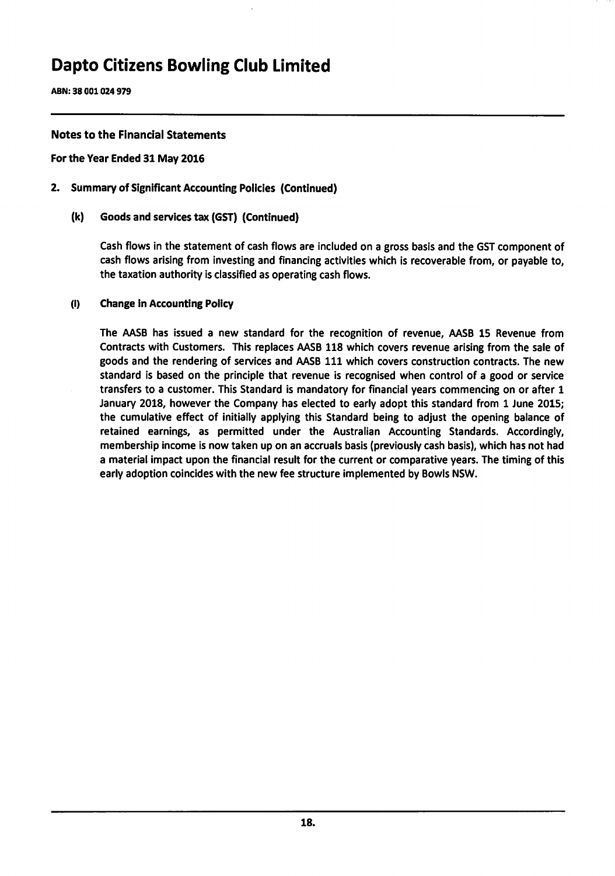ABN: 38 001 024 979

#### **Notes to the Financial Statements**

#### For the Year Ended 31 May 2016

#### 2. Summary of Significant Accounting Policies (Continued)

 $(k)$ Goods and services tax (GST) (Continued)

> Cash flows in the statement of cash flows are included on a gross basis and the GST component of cash flows arising from investing and financing activities which is recoverable from, or payable to, the taxation authority is classified as operating cash flows.

#### $(1)$ **Change in Accounting Policy**

The AASB has issued a new standard for the recognition of revenue, AASB 15 Revenue from Contracts with Customers. This replaces AASB 118 which covers revenue arising from the sale of goods and the rendering of services and AASB 111 which covers construction contracts. The new standard is based on the principle that revenue is recognised when control of a good or service transfers to a customer. This Standard is mandatory for financial years commencing on or after 1 January 2018, however the Company has elected to early adopt this standard from 1 June 2015; the cumulative effect of initially applying this Standard being to adjust the opening balance of retained earnings, as permitted under the Australian Accounting Standards. Accordingly, membership income is now taken up on an accruals basis (previously cash basis), which has not had a material impact upon the financial result for the current or comparative years. The timing of this early adoption coincides with the new fee structure implemented by Bowls NSW.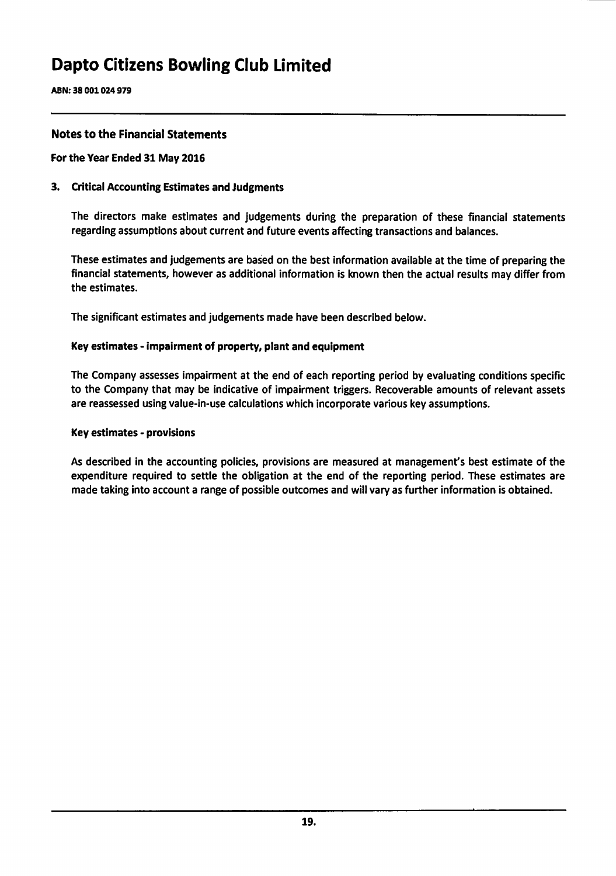ABN: 38 001 024 979

### **Notes to the Financial Statements**

#### For the Year Ended 31 May 2016

#### 3. Critical Accounting Estimates and Judgments

The directors make estimates and judgements during the preparation of these financial statements regarding assumptions about current and future events affecting transactions and balances.

These estimates and judgements are based on the best information available at the time of preparing the financial statements, however as additional information is known then the actual results may differ from the estimates.

The significant estimates and judgements made have been described below.

#### Key estimates - impairment of property, plant and equipment

The Company assesses impairment at the end of each reporting period by evaluating conditions specific to the Company that may be indicative of impairment triggers. Recoverable amounts of relevant assets are reassessed using value-in-use calculations which incorporate various key assumptions.

#### **Key estimates - provisions**

As described in the accounting policies, provisions are measured at management's best estimate of the expenditure required to settle the obligation at the end of the reporting period. These estimates are made taking into account a range of possible outcomes and will vary as further information is obtained.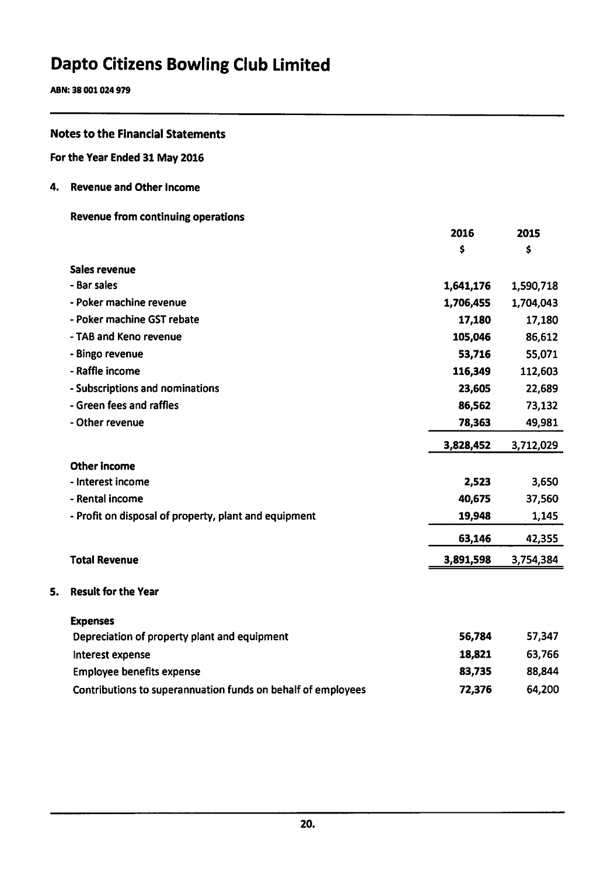ABN: 38 001 024 979

|    | <b>Notes to the Financial Statements</b>                     |           |           |
|----|--------------------------------------------------------------|-----------|-----------|
|    | For the Year Ended 31 May 2016                               |           |           |
| 4. | <b>Revenue and Other Income</b>                              |           |           |
|    | <b>Revenue from continuing operations</b>                    |           |           |
|    |                                                              | 2016      | 2015      |
|    |                                                              | \$        | \$        |
|    | <b>Sales revenue</b>                                         |           |           |
|    | - Bar sales                                                  | 1,641,176 | 1,590,718 |
|    | - Poker machine revenue                                      | 1,706,455 | 1,704,043 |
|    | - Poker machine GST rebate                                   | 17,180    | 17,180    |
|    | - TAB and Keno revenue                                       | 105,046   | 86,612    |
|    | - Bingo revenue                                              | 53,716    | 55,071    |
|    | - Raffle income                                              | 116,349   | 112,603   |
|    | - Subscriptions and nominations                              | 23,605    | 22,689    |
|    | - Green fees and raffles                                     | 86,562    | 73,132    |
|    | - Other revenue                                              | 78,363    | 49,981    |
|    |                                                              | 3,828,452 | 3,712,029 |
|    | <b>Other income</b>                                          |           |           |
|    | - Interest income                                            | 2,523     | 3,650     |
|    | - Rental income                                              | 40,675    | 37,560    |
|    | - Profit on disposal of property, plant and equipment        | 19,948    | 1,145     |
|    |                                                              | 63,146    | 42,355    |
|    | <b>Total Revenue</b>                                         | 3,891,598 | 3,754,384 |
| 5. | <b>Result for the Year</b>                                   |           |           |
|    | <b>Expenses</b>                                              |           |           |
|    | Depreciation of property plant and equipment                 | 56,784    | 57,347    |
|    | Interest expense                                             | 18,821    | 63,766    |
|    | <b>Employee benefits expense</b>                             | 83,735    | 88,844    |
|    | Contributions to superannuation funds on behalf of employees | 72,376    | 64,200    |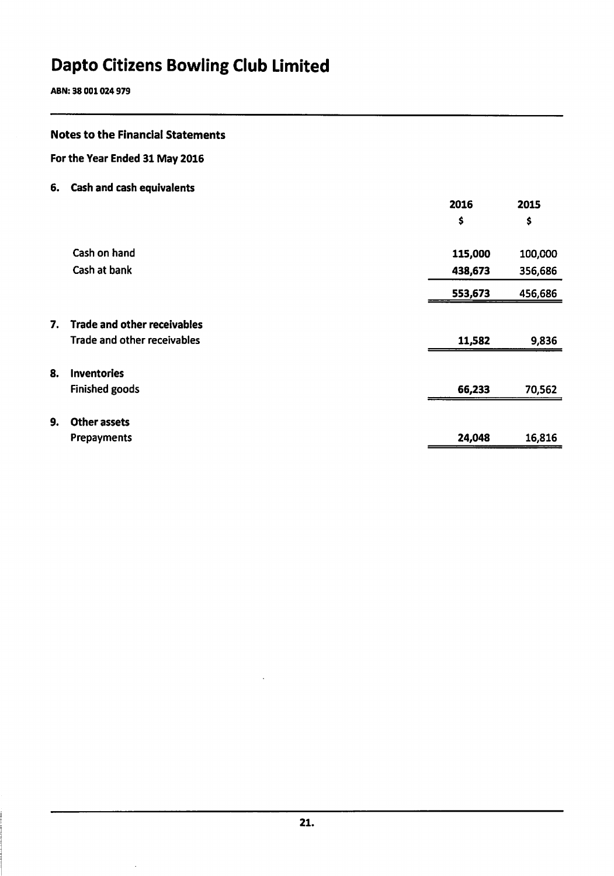ABN: 38 001 024 979

### **Notes to the Financial Statements**

For the Year Ended 31 May 2016

6. Cash and cash equivalents

|    |                                    | 2016    | 2015    |
|----|------------------------------------|---------|---------|
|    |                                    | \$      | \$      |
|    | Cash on hand                       | 115,000 | 100,000 |
|    | Cash at bank                       | 438,673 | 356,686 |
|    |                                    | 553,673 | 456,686 |
| 7. | <b>Trade and other receivables</b> |         |         |
|    | Trade and other receivables        | 11,582  | 9,836   |
| 8. | <b>Inventories</b>                 |         |         |
|    | Finished goods                     | 66,233  | 70,562  |
|    |                                    |         |         |
| 9. | <b>Other assets</b>                |         |         |
|    | Prepayments                        | 24,048  | 16,816  |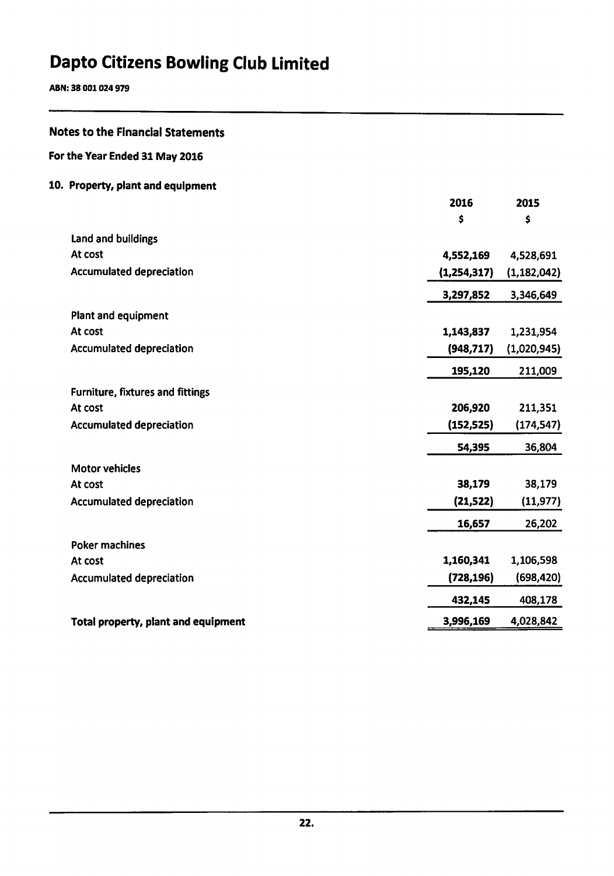ABN: 38 001 024 979

### **Notes to the Financial Statements**

### For the Year Ended 31 May 2016

### 10. Property, plant and equipment

|                                         | 2016        | 2015          |
|-----------------------------------------|-------------|---------------|
|                                         | \$          | \$            |
| Land and buildings                      |             |               |
| At cost                                 | 4,552,169   | 4,528,691     |
| <b>Accumulated depreciation</b>         | (1,254,317) | (1, 182, 042) |
|                                         | 3,297,852   | 3,346,649     |
| Plant and equipment                     |             |               |
| At cost                                 | 1,143,837   | 1,231,954     |
| <b>Accumulated depreciation</b>         | (948, 717)  | (1,020,945)   |
|                                         | 195,120     | 211,009       |
| <b>Furniture, fixtures and fittings</b> |             |               |
| At cost                                 | 206,920     | 211,351       |
| <b>Accumulated depreciation</b>         | (152, 525)  | (174, 547)    |
|                                         | 54,395      | 36,804        |
| <b>Motor vehicles</b>                   |             |               |
| At cost                                 | 38,179      | 38,179        |
| <b>Accumulated depreciation</b>         | (21, 522)   | (11, 977)     |
|                                         | 16,657      | 26,202        |
| <b>Poker machines</b>                   |             |               |
| At cost                                 | 1,160,341   | 1,106,598     |
| <b>Accumulated depreciation</b>         | (728, 196)  | (698, 420)    |
|                                         | 432,145     | 408,178       |
| Total property, plant and equipment     | 3,996,169   | 4,028,842     |
|                                         |             |               |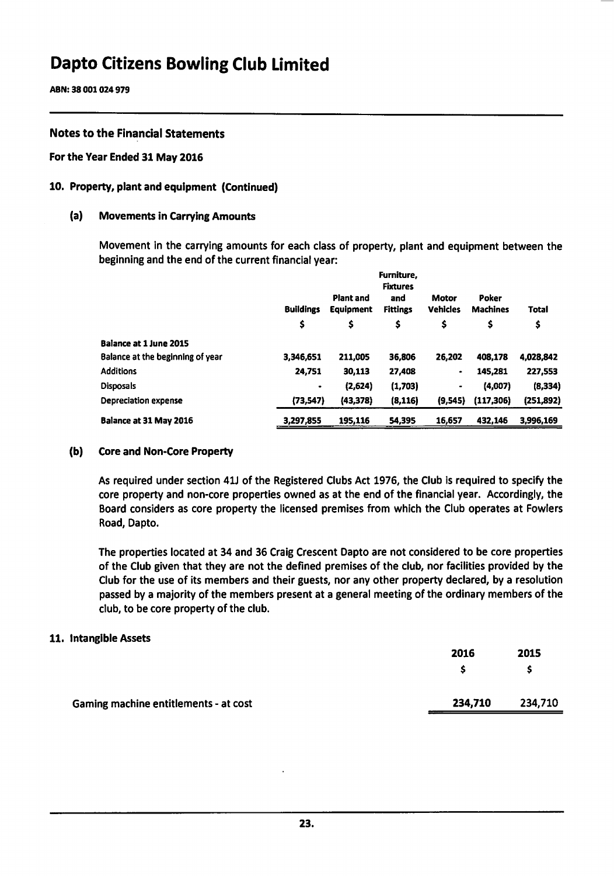ABN: 38 001 024 979

### **Notes to the Financial Statements**

#### For the Year Ended 31 May 2016

#### 10. Property, plant and equipment (Continued)

#### (a) **Movements in Carrying Amounts**

Movement in the carrying amounts for each class of property, plant and equipment between the beginning and the end of the current financial year:

|                                  | Furniture.<br><b>Fixtures</b> |                                                         |                                 |                          |                    |           |
|----------------------------------|-------------------------------|---------------------------------------------------------|---------------------------------|--------------------------|--------------------|-----------|
|                                  | <b>Buildings</b>              | Plant and<br>and<br><b>Equipment</b><br><b>Fittings</b> | <b>Motor</b><br><b>Vehicles</b> | Poker<br><b>Machines</b> | <b>Total</b><br>\$ |           |
|                                  | \$                            | \$                                                      | \$                              | \$                       |                    |           |
| <b>Balance at 1 June 2015</b>    |                               |                                                         |                                 |                          |                    |           |
| Balance at the beginning of year | 3,346,651                     | 211,005                                                 | 36,806                          | 26,202                   | 408.178            | 4,028,842 |
| <b>Additions</b>                 | 24,751                        | 30,113                                                  | 27,408                          | ٠                        | 145,281            | 227,553   |
| <b>Disposals</b>                 | ٠                             | (2,624)                                                 | (1,703)                         | ٠                        | (4,007)            | (8, 334)  |
| <b>Depreciation expense</b>      | (73,547)                      | (43,378)                                                | (8, 116)                        | (9,545)                  | (117, 306)         | (251,892) |
| Balance at 31 May 2016           | 3,297,855                     | 195,116                                                 | 54,395                          | 16,657                   | 432.146            | 3,996,169 |

#### $(b)$ **Core and Non-Core Property**

As required under section 41J of the Registered Clubs Act 1976, the Club is required to specify the core property and non-core properties owned as at the end of the financial year. Accordingly, the Board considers as core property the licensed premises from which the Club operates at Fowlers Road. Dapto.

The properties located at 34 and 36 Craig Crescent Dapto are not considered to be core properties of the Club given that they are not the defined premises of the club, nor facilities provided by the Club for the use of its members and their guests, nor any other property declared, by a resolution passed by a majority of the members present at a general meeting of the ordinary members of the club, to be core property of the club.

#### 11. Intangible Assets

|                                       | 2016    | 2015<br>-S |
|---------------------------------------|---------|------------|
| Gaming machine entitlements - at cost | 234,710 | 234,710    |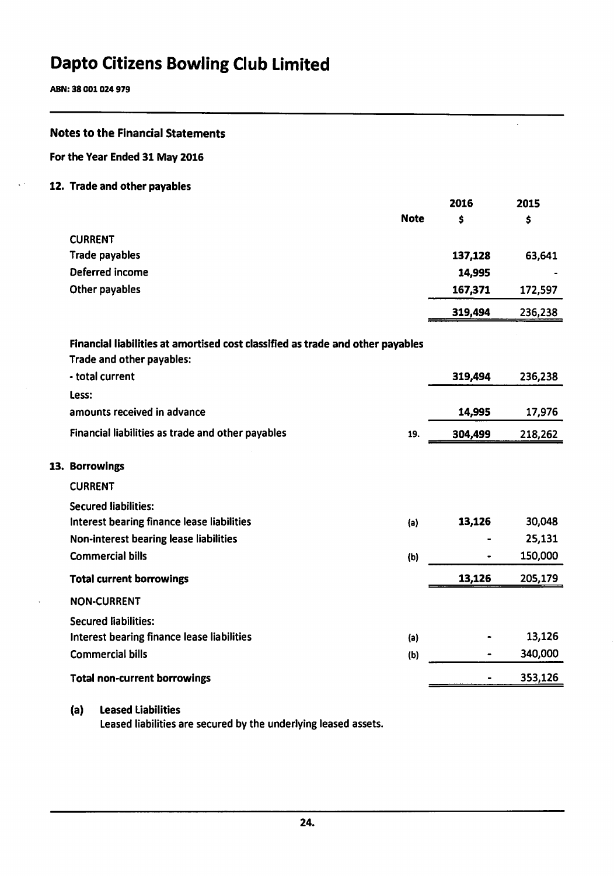ABN: 38 001 024 979

 $\epsilon^{-1}$ 

### **Notes to the Financial Statements**

#### For the Year Ended 31 May 2016

12. Trade and other payables

|                                                                                                             |             | 2016    | 2015    |
|-------------------------------------------------------------------------------------------------------------|-------------|---------|---------|
|                                                                                                             | <b>Note</b> | Ś       | \$      |
| <b>CURRENT</b>                                                                                              |             |         |         |
| <b>Trade payables</b>                                                                                       |             | 137,128 | 63,641  |
| Deferred income                                                                                             |             | 14,995  |         |
| Other payables                                                                                              |             | 167,371 | 172,597 |
|                                                                                                             |             | 319,494 | 236,238 |
| Financial liabilities at amortised cost classified as trade and other payables<br>Trade and other payables: |             |         |         |
| - total current                                                                                             |             | 319,494 | 236,238 |
| Less:                                                                                                       |             |         |         |
| amounts received in advance                                                                                 |             | 14,995  | 17,976  |
| Financial liabilities as trade and other payables                                                           | 19.         | 304,499 | 218,262 |
| 13. Borrowings                                                                                              |             |         |         |
| <b>CURRENT</b>                                                                                              |             |         |         |
| <b>Secured liabilities:</b>                                                                                 |             |         |         |
| Interest bearing finance lease liabilities                                                                  | (a)         | 13,126  | 30,048  |
| Non-interest bearing lease liabilities                                                                      |             |         | 25,131  |
| <b>Commercial bills</b>                                                                                     | (b)         |         | 150,000 |
| <b>Total current borrowings</b>                                                                             |             | 13,126  | 205,179 |
| <b>NON-CURRENT</b>                                                                                          |             |         |         |
| <b>Secured liabilities:</b>                                                                                 |             |         |         |
| Interest bearing finance lease liabilities                                                                  | (a)         |         | 13,126  |
| <b>Commercial bills</b>                                                                                     | (b)         |         | 340,000 |
| <b>Total non-current borrowings</b>                                                                         |             |         | 353,126 |
|                                                                                                             |             |         |         |

 $\ddot{\phantom{a}}$ 

**Leased Liabilities**  $(a)$ 

Leased liabilities are secured by the underlying leased assets.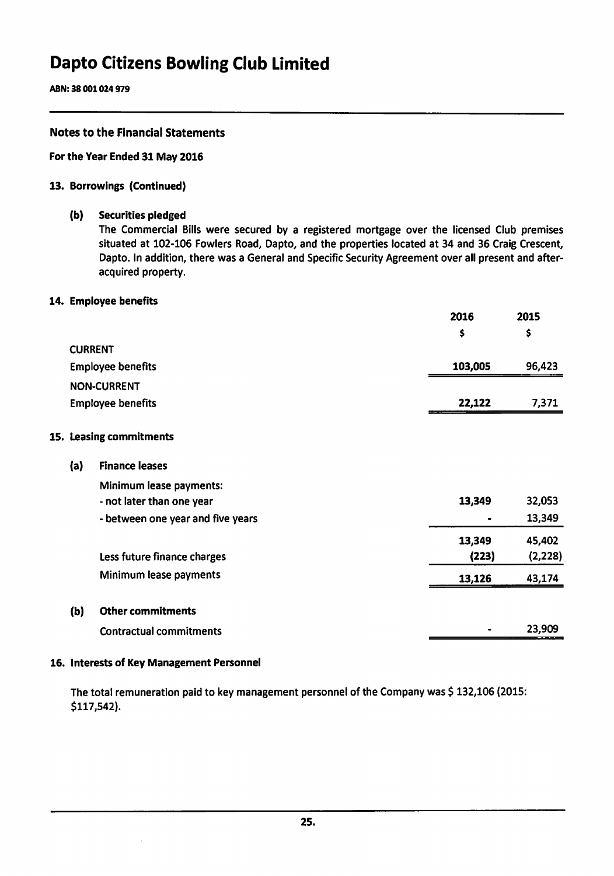ABN: 38 001 024 979

### **Notes to the Financial Statements**

For the Year Ended 31 May 2016

#### 13. Borrowings (Continued)

#### $(b)$ **Securities pledged**

The Commercial Bills were secured by a registered mortgage over the licensed Club premises situated at 102-106 Fowlers Road, Dapto, and the properties located at 34 and 36 Craig Crescent, Dapto. In addition, there was a General and Specific Security Agreement over all present and afteracquired property.

#### 14. Employee benefits

|                |                                   | 2016    | 2015     |
|----------------|-----------------------------------|---------|----------|
|                |                                   | \$      | \$       |
| <b>CURRENT</b> |                                   |         |          |
|                | <b>Employee benefits</b>          | 103,005 | 96,423   |
|                | <b>NON-CURRENT</b>                |         |          |
|                | <b>Employee benefits</b>          | 22,122  | 7,371    |
|                | 15. Leasing commitments           |         |          |
| (a)            | <b>Finance leases</b>             |         |          |
|                | Minimum lease payments:           |         |          |
|                | - not later than one year         | 13,349  | 32,053   |
|                | - between one year and five years |         | 13,349   |
|                |                                   | 13,349  | 45,402   |
|                | Less future finance charges       | (223)   | (2, 228) |
|                | Minimum lease payments            | 13,126  | 43,174   |
| (b)            | <b>Other commitments</b>          |         |          |
|                | <b>Contractual commitments</b>    |         | 23,909   |
|                |                                   |         |          |

#### 16. Interests of Key Management Personnel

The total remuneration paid to key management personnel of the Company was \$132,106 (2015: \$117,542).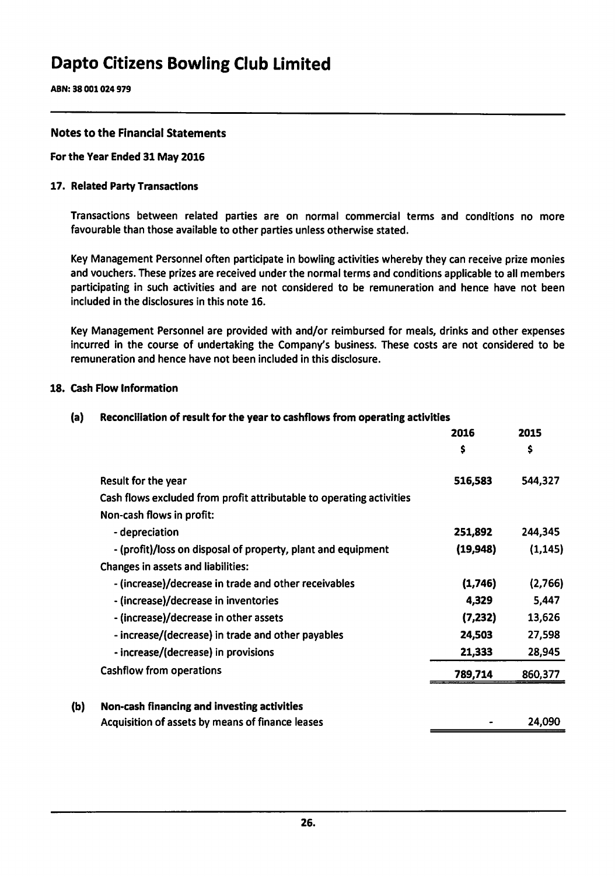ABN: 38 001 024 979

### **Notes to the Financial Statements**

#### For the Year Ended 31 May 2016

#### 17. Related Party Transactions

Transactions between related parties are on normal commercial terms and conditions no more favourable than those available to other parties unless otherwise stated.

Key Management Personnel often participate in bowling activities whereby they can receive prize monies and vouchers. These prizes are received under the normal terms and conditions applicable to all members participating in such activities and are not considered to be remuneration and hence have not been included in the disclosures in this note 16.

Key Management Personnel are provided with and/or reimbursed for meals, drinks and other expenses incurred in the course of undertaking the Company's business. These costs are not considered to be remuneration and hence have not been included in this disclosure.

#### 18. Cash Flow Information

 $(b)$ 

#### $(a)$ Reconciliation of result for the year to cashflows from operating activities

|                                                                      | 2016     | 2015     |
|----------------------------------------------------------------------|----------|----------|
|                                                                      | \$       | s        |
| Result for the year                                                  | 516,583  | 544,327  |
| Cash flows excluded from profit attributable to operating activities |          |          |
| Non-cash flows in profit:                                            |          |          |
| - depreciation                                                       | 251,892  | 244,345  |
| - (profit)/loss on disposal of property, plant and equipment         | (19,948) | (1, 145) |
| <b>Changes in assets and liabilities:</b>                            |          |          |
| - (increase)/decrease in trade and other receivables                 | (1,746)  | (2,766)  |
| - (increase)/decrease in inventories                                 | 4,329    | 5,447    |
| - (increase)/decrease in other assets                                | (7, 232) | 13,626   |
| - increase/(decrease) in trade and other payables                    | 24,503   | 27,598   |
| - increase/(decrease) in provisions                                  | 21,333   | 28,945   |
| Cashflow from operations                                             | 789,714  | 860,377  |
| Non-cash financing and investing activities                          |          |          |
| Acquisition of assets by means of finance leases                     |          | 24,090   |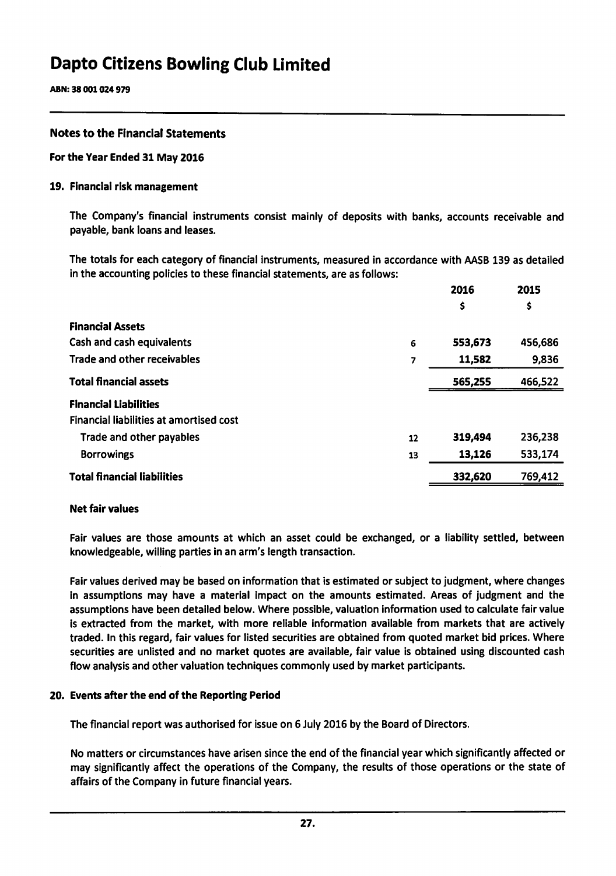ABN: 38 001 024 979

### **Notes to the Financial Statements**

#### For the Year Ended 31 May 2016

#### 19. Financial risk management

The Company's financial instruments consist mainly of deposits with banks, accounts receivable and payable, bank loans and leases.

The totals for each category of financial instruments, measured in accordance with AASB 139 as detailed in the accounting policies to these financial statements, are as follows:

|                                                |    | 2016<br>\$ | 2015<br>\$ |
|------------------------------------------------|----|------------|------------|
| <b>Financial Assets</b>                        |    |            |            |
| Cash and cash equivalents                      | 6  | 553,673    | 456,686    |
| Trade and other receivables                    | 7  | 11,582     | 9,836      |
| <b>Total financial assets</b>                  |    | 565,255    | 466,522    |
| <b>Financial Liabilities</b>                   |    |            |            |
| <b>Financial liabilities at amortised cost</b> |    |            |            |
| Trade and other payables                       | 12 | 319,494    | 236,238    |
| <b>Borrowings</b>                              | 13 | 13,126     | 533,174    |
| <b>Total financial liabilities</b>             |    | 332,620    | 769,412    |
|                                                |    |            |            |

#### **Net fair values**

Fair values are those amounts at which an asset could be exchanged, or a liability settled, between knowledgeable, willing parties in an arm's length transaction.

Fair values derived may be based on information that is estimated or subject to judgment, where changes in assumptions may have a material impact on the amounts estimated. Areas of judgment and the assumptions have been detailed below. Where possible, valuation information used to calculate fair value is extracted from the market, with more reliable information available from markets that are actively traded. In this regard, fair values for listed securities are obtained from quoted market bid prices. Where securities are unlisted and no market quotes are available, fair value is obtained using discounted cash flow analysis and other valuation techniques commonly used by market participants.

#### 20. Events after the end of the Reporting Period

The financial report was authorised for issue on 6 July 2016 by the Board of Directors.

No matters or circumstances have arisen since the end of the financial year which significantly affected or may significantly affect the operations of the Company, the results of those operations or the state of affairs of the Company in future financial years.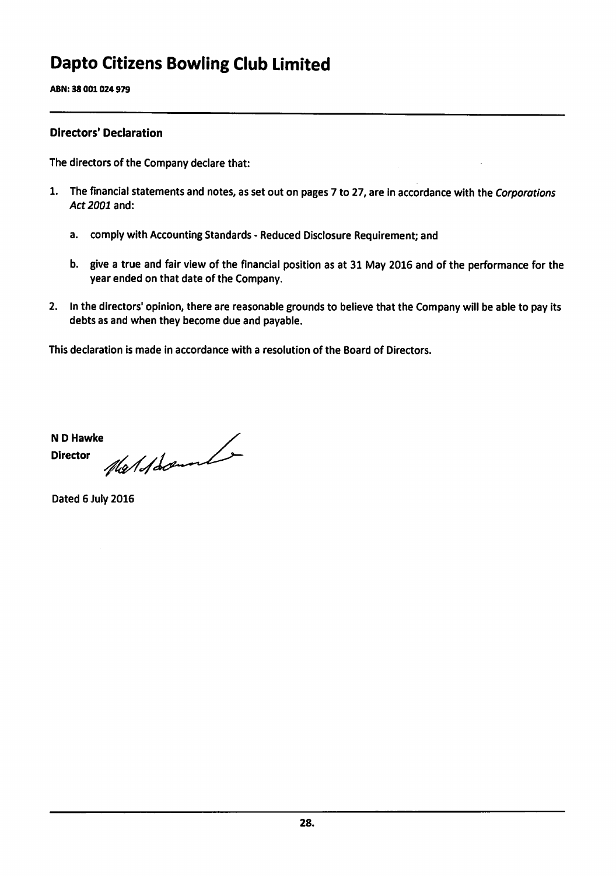ABN: 38 001 024 979

### **Directors' Declaration**

The directors of the Company declare that:

- 1. The financial statements and notes, as set out on pages 7 to 27, are in accordance with the Corporations Act 2001 and:
	- comply with Accounting Standards Reduced Disclosure Requirement; and  $a.$
	- b. give a true and fair view of the financial position as at 31 May 2016 and of the performance for the year ended on that date of the Company.
- 2. In the directors' opinion, there are reasonable grounds to believe that the Company will be able to pay its debts as and when they become due and payable.

This declaration is made in accordance with a resolution of the Board of Directors.

Nelsdomment N D Hawke **Director** 

Dated 6 July 2016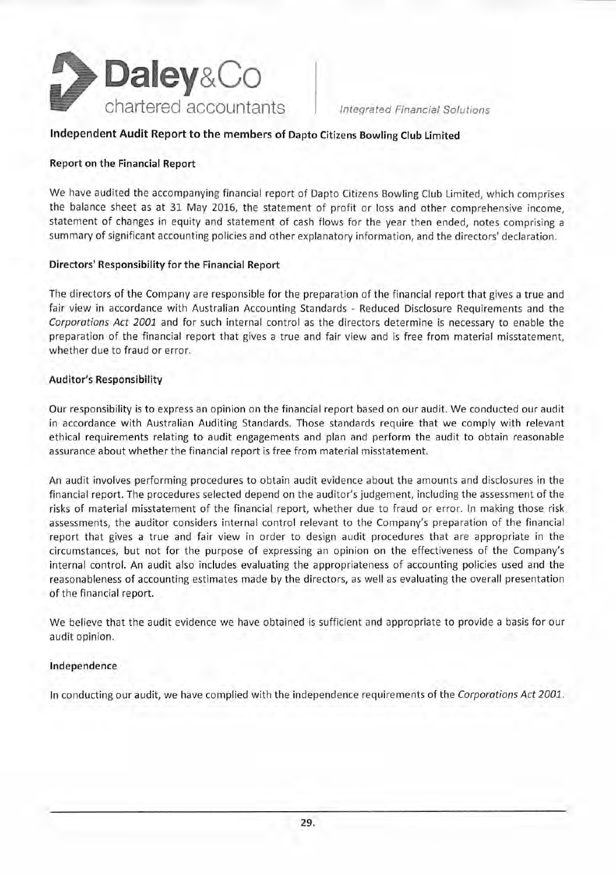

**Integrated Financial Solutions** 

### Independent Audit Report to the members of Dapto Citizens Bowling Club Limited

#### **Report on the Financial Report**

We have audited the accompanying financial report of Dapto Citizens Bowling Club Limited, which comprises the balance sheet as at 31 May 2016, the statement of profit or loss and other comprehensive income, statement of changes in equity and statement of cash flows for the year then ended, notes comprising a summary of significant accounting policies and other explanatory information, and the directors' declaration.

#### Directors' Responsibility for the Financial Report

The directors of the Company are responsible for the preparation of the financial report that gives a true and fair view in accordance with Australian Accounting Standards - Reduced Disclosure Requirements and the Corporations Act 2001 and for such internal control as the directors determine is necessary to enable the preparation of the financial report that gives a true and fair view and is free from material misstatement, whether due to fraud or error.

#### **Auditor's Responsibility**

Our responsibility is to express an opinion on the financial report based on our audit. We conducted our audit in accordance with Australian Auditing Standards. Those standards require that we comply with relevant ethical requirements relating to audit engagements and plan and perform the audit to obtain reasonable assurance about whether the financial report is free from material misstatement.

An audit involves performing procedures to obtain audit evidence about the amounts and disclosures in the financial report. The procedures selected depend on the auditor's judgement, including the assessment of the risks of material misstatement of the financial report, whether due to fraud or error. In making those risk assessments, the auditor considers internal control relevant to the Company's preparation of the financial report that gives a true and fair view in order to design audit procedures that are appropriate in the circumstances, but not for the purpose of expressing an opinion on the effectiveness of the Company's internal control. An audit also includes evaluating the appropriateness of accounting policies used and the reasonableness of accounting estimates made by the directors, as well as evaluating the overall presentation of the financial report.

We believe that the audit evidence we have obtained is sufficient and appropriate to provide a basis for our audit opinion.

#### Independence

In conducting our audit, we have complied with the independence requirements of the Corporations Act 2001.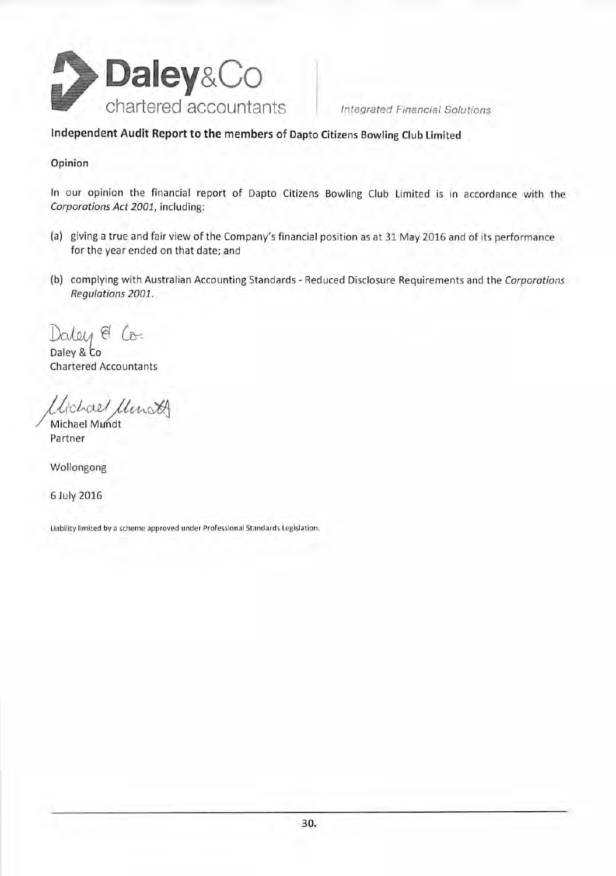

Integrated Financial Solutions

### Independent Audit Report to the members of Dapto Citizens Bowling Club Limited

#### Opinion

In our opinion the financial report of Dapto Citizens Bowling Club Limited is in accordance with the Corporations Act 2001, including:

- (a) giving a true and fair view of the Company's financial position as at 31 May 2016 and of its performance for the year ended on that date; and
- (b) complying with Australian Accounting Standards Reduced Disclosure Requirements and the Corporations Regulations 2001.

Daley & Co.

Daley & Co **Chartered Accountants** 

Gichael Ulmst

Michael Mundt Partner

Wollongong

6 July 2016

Liability limited by a scheme approved under Professional Standards Legislation.